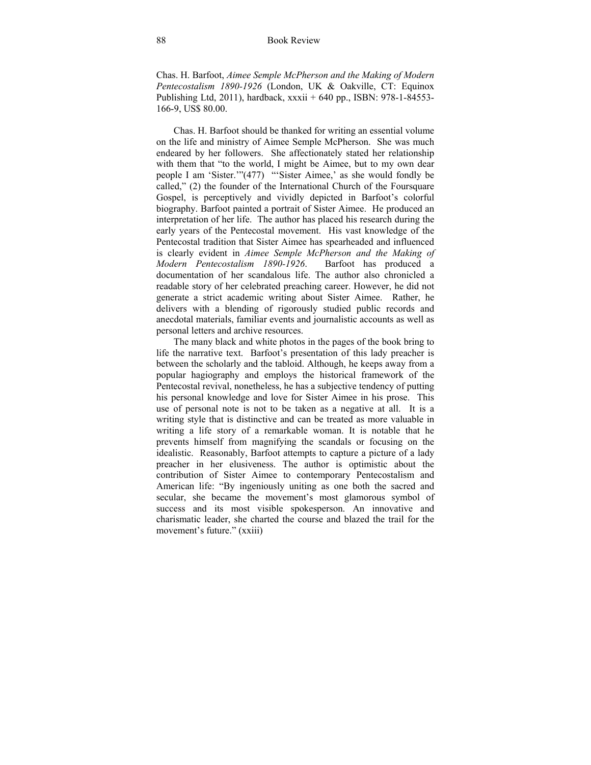Chas. H. Barfoot, *Aimee Semple McPherson and the Making of Modern Pentecostalism 1890-1926* (London, UK & Oakville, CT: Equinox Publishing Ltd, 2011), hardback, xxxii + 640 pp., ISBN: 978-1-84553- 166-9, US\$ 80.00.

Chas. H. Barfoot should be thanked for writing an essential volume on the life and ministry of Aimee Semple McPherson. She was much endeared by her followers. She affectionately stated her relationship with them that "to the world, I might be Aimee, but to my own dear people I am 'Sister.'"(477) "'Sister Aimee,' as she would fondly be called," (2) the founder of the International Church of the Foursquare Gospel, is perceptively and vividly depicted in Barfoot's colorful biography. Barfoot painted a portrait of Sister Aimee. He produced an interpretation of her life. The author has placed his research during the early years of the Pentecostal movement. His vast knowledge of the Pentecostal tradition that Sister Aimee has spearheaded and influenced is clearly evident in *Aimee Semple McPherson and the Making of Modern Pentecostalism 1890-1926*. Barfoot has produced a documentation of her scandalous life. The author also chronicled a readable story of her celebrated preaching career. However, he did not generate a strict academic writing about Sister Aimee. Rather, he delivers with a blending of rigorously studied public records and anecdotal materials, familiar events and journalistic accounts as well as personal letters and archive resources.

The many black and white photos in the pages of the book bring to life the narrative text. Barfoot's presentation of this lady preacher is between the scholarly and the tabloid. Although, he keeps away from a popular hagiography and employs the historical framework of the Pentecostal revival, nonetheless, he has a subjective tendency of putting his personal knowledge and love for Sister Aimee in his prose. This use of personal note is not to be taken as a negative at all. It is a writing style that is distinctive and can be treated as more valuable in writing a life story of a remarkable woman. It is notable that he prevents himself from magnifying the scandals or focusing on the idealistic. Reasonably, Barfoot attempts to capture a picture of a lady preacher in her elusiveness. The author is optimistic about the contribution of Sister Aimee to contemporary Pentecostalism and American life: "By ingeniously uniting as one both the sacred and secular, she became the movement's most glamorous symbol of success and its most visible spokesperson. An innovative and charismatic leader, she charted the course and blazed the trail for the movement's future." (xxiii)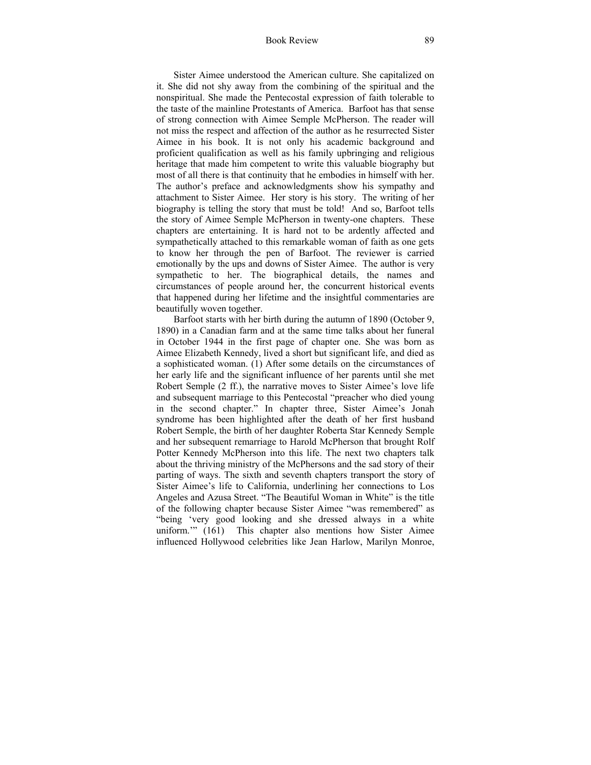Sister Aimee understood the American culture. She capitalized on it. She did not shy away from the combining of the spiritual and the nonspiritual. She made the Pentecostal expression of faith tolerable to the taste of the mainline Protestants of America. Barfoot has that sense of strong connection with Aimee Semple McPherson. The reader will not miss the respect and affection of the author as he resurrected Sister Aimee in his book. It is not only his academic background and proficient qualification as well as his family upbringing and religious heritage that made him competent to write this valuable biography but most of all there is that continuity that he embodies in himself with her. The author's preface and acknowledgments show his sympathy and attachment to Sister Aimee. Her story is his story. The writing of her biography is telling the story that must be told! And so, Barfoot tells the story of Aimee Semple McPherson in twenty-one chapters. These chapters are entertaining. It is hard not to be ardently affected and sympathetically attached to this remarkable woman of faith as one gets to know her through the pen of Barfoot. The reviewer is carried emotionally by the ups and downs of Sister Aimee. The author is very sympathetic to her. The biographical details, the names and circumstances of people around her, the concurrent historical events that happened during her lifetime and the insightful commentaries are beautifully woven together.

Barfoot starts with her birth during the autumn of 1890 (October 9, 1890) in a Canadian farm and at the same time talks about her funeral in October 1944 in the first page of chapter one. She was born as Aimee Elizabeth Kennedy, lived a short but significant life, and died as a sophisticated woman. (1) After some details on the circumstances of her early life and the significant influence of her parents until she met Robert Semple (2 ff.), the narrative moves to Sister Aimee's love life and subsequent marriage to this Pentecostal "preacher who died young in the second chapter." In chapter three, Sister Aimee's Jonah syndrome has been highlighted after the death of her first husband Robert Semple, the birth of her daughter Roberta Star Kennedy Semple and her subsequent remarriage to Harold McPherson that brought Rolf Potter Kennedy McPherson into this life. The next two chapters talk about the thriving ministry of the McPhersons and the sad story of their parting of ways. The sixth and seventh chapters transport the story of Sister Aimee's life to California, underlining her connections to Los Angeles and Azusa Street. "The Beautiful Woman in White" is the title of the following chapter because Sister Aimee "was remembered" as "being 'very good looking and she dressed always in a white uniform.'" (161) This chapter also mentions how Sister Aimee influenced Hollywood celebrities like Jean Harlow, Marilyn Monroe,